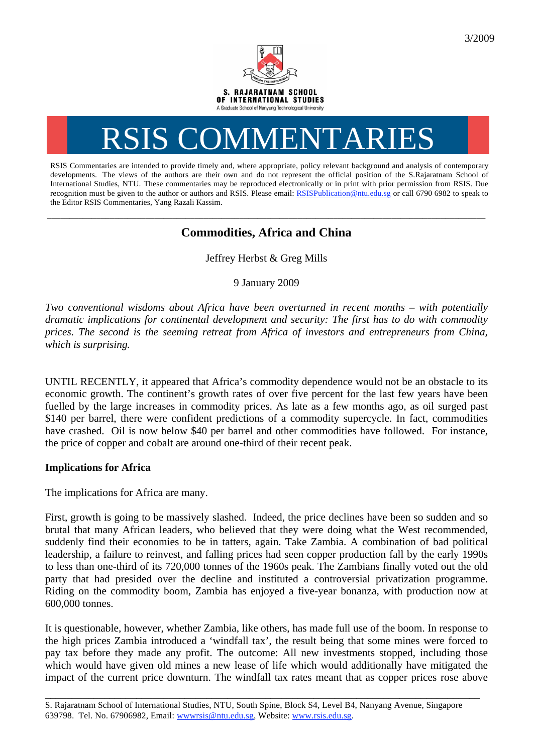

## RSIS COMMENTARIES

RSIS Commentaries are intended to provide timely and, where appropriate, policy relevant background and analysis of contemporary developments. The views of the authors are their own and do not represent the official position of the S.Rajaratnam School of International Studies, NTU. These commentaries may be reproduced electronically or in print with prior permission from RSIS. Due recognition must be given to the author or authors and RSIS. Please email: RSISPublication@ntu.edu.sg or call 6790 6982 to speak to the Editor RSIS Commentaries, Yang Razali Kassim.

## **\_\_\_\_\_\_\_\_\_\_\_\_\_\_\_\_\_\_\_\_\_\_\_\_\_\_\_\_\_\_\_\_\_\_\_\_\_\_\_\_\_\_\_\_\_\_\_\_\_\_\_\_\_\_\_\_\_\_\_\_\_\_\_\_\_\_\_\_\_\_\_\_\_\_\_\_\_\_\_\_\_\_\_\_\_\_\_\_\_\_\_\_\_\_\_\_\_\_ Commodities, Africa and China**

Jeffrey Herbst & Greg Mills

9 January 2009

*Two conventional wisdoms about Africa have been overturned in recent months – with potentially dramatic implications for continental development and security: The first has to do with commodity prices. The second is the seeming retreat from Africa of investors and entrepreneurs from China, which is surprising.* 

UNTIL RECENTLY, it appeared that Africa's commodity dependence would not be an obstacle to its economic growth. The continent's growth rates of over five percent for the last few years have been fuelled by the large increases in commodity prices. As late as a few months ago, as oil surged past \$140 per barrel, there were confident predictions of a commodity supercycle. In fact, commodities have crashed. Oil is now below \$40 per barrel and other commodities have followed. For instance, the price of copper and cobalt are around one-third of their recent peak.

## **Implications for Africa**

The implications for Africa are many.

First, growth is going to be massively slashed. Indeed, the price declines have been so sudden and so brutal that many African leaders, who believed that they were doing what the West recommended, suddenly find their economies to be in tatters, again. Take Zambia. A combination of bad political leadership, a failure to reinvest, and falling prices had seen copper production fall by the early 1990s to less than one-third of its 720,000 tonnes of the 1960s peak. The Zambians finally voted out the old party that had presided over the decline and instituted a controversial privatization programme. Riding on the commodity boom, Zambia has enjoyed a five-year bonanza, with production now at 600,000 tonnes.

It is questionable, however, whether Zambia, like others, has made full use of the boom. In response to the high prices Zambia introduced a 'windfall tax', the result being that some mines were forced to pay tax before they made any profit. The outcome: All new investments stopped, including those which would have given old mines a new lease of life which would additionally have mitigated the impact of the current price downturn. The windfall tax rates meant that as copper prices rose above

\_\_\_\_\_\_\_\_\_\_\_\_\_\_\_\_\_\_\_\_\_\_\_\_\_\_\_\_\_\_\_\_\_\_\_\_\_\_\_\_\_\_\_\_\_\_\_\_\_\_\_\_\_\_\_\_\_\_\_\_\_\_\_\_\_\_\_\_\_\_\_\_\_\_\_\_\_\_\_\_\_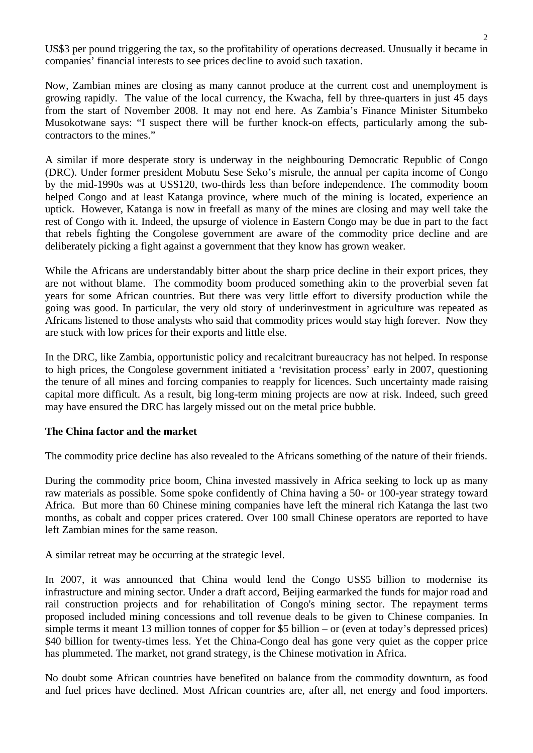US\$3 per pound triggering the tax, so the profitability of operations decreased. Unusually it became in companies' financial interests to see prices decline to avoid such taxation.

Now, Zambian mines are closing as many cannot produce at the current cost and unemployment is growing rapidly. The value of the local currency, the Kwacha, fell by three-quarters in just 45 days from the start of November 2008. It may not end here. As Zambia's Finance Minister Situmbeko Musokotwane says: "I suspect there will be further knock-on effects, particularly among the subcontractors to the mines."

A similar if more desperate story is underway in the neighbouring Democratic Republic of Congo (DRC). Under former president Mobutu Sese Seko's misrule, the annual per capita income of Congo by the mid-1990s was at US\$120, two-thirds less than before independence. The commodity boom helped Congo and at least Katanga province, where much of the mining is located, experience an uptick. However, Katanga is now in freefall as many of the mines are closing and may well take the rest of Congo with it. Indeed, the upsurge of violence in Eastern Congo may be due in part to the fact that rebels fighting the Congolese government are aware of the commodity price decline and are deliberately picking a fight against a government that they know has grown weaker.

While the Africans are understandably bitter about the sharp price decline in their export prices, they are not without blame. The commodity boom produced something akin to the proverbial seven fat years for some African countries. But there was very little effort to diversify production while the going was good. In particular, the very old story of underinvestment in agriculture was repeated as Africans listened to those analysts who said that commodity prices would stay high forever. Now they are stuck with low prices for their exports and little else.

In the DRC, like Zambia, opportunistic policy and recalcitrant bureaucracy has not helped. In response to high prices, the Congolese government initiated a 'revisitation process' early in 2007, questioning the tenure of all mines and forcing companies to reapply for licences. Such uncertainty made raising capital more difficult. As a result, big long-term mining projects are now at risk. Indeed, such greed may have ensured the DRC has largely missed out on the metal price bubble.

## **The China factor and the market**

The commodity price decline has also revealed to the Africans something of the nature of their friends.

During the commodity price boom, China invested massively in Africa seeking to lock up as many raw materials as possible. Some spoke confidently of China having a 50- or 100-year strategy toward Africa. But more than 60 Chinese mining companies have left the mineral rich Katanga the last two months, as cobalt and copper prices cratered. Over 100 small Chinese operators are reported to have left Zambian mines for the same reason.

A similar retreat may be occurring at the strategic level.

In 2007, it was announced that China would lend the Congo US\$5 billion to modernise its infrastructure and mining sector. Under a draft accord, Beijing earmarked the funds for major road and rail construction projects and for rehabilitation of Congo's mining sector. The repayment terms proposed included mining concessions and toll revenue deals to be given to Chinese companies. In simple terms it meant 13 million tonnes of copper for \$5 billion – or (even at today's depressed prices) \$40 billion for twenty-times less. Yet the China-Congo deal has gone very quiet as the copper price has plummeted. The market, not grand strategy, is the Chinese motivation in Africa.

No doubt some African countries have benefited on balance from the commodity downturn, as food and fuel prices have declined. Most African countries are, after all, net energy and food importers.